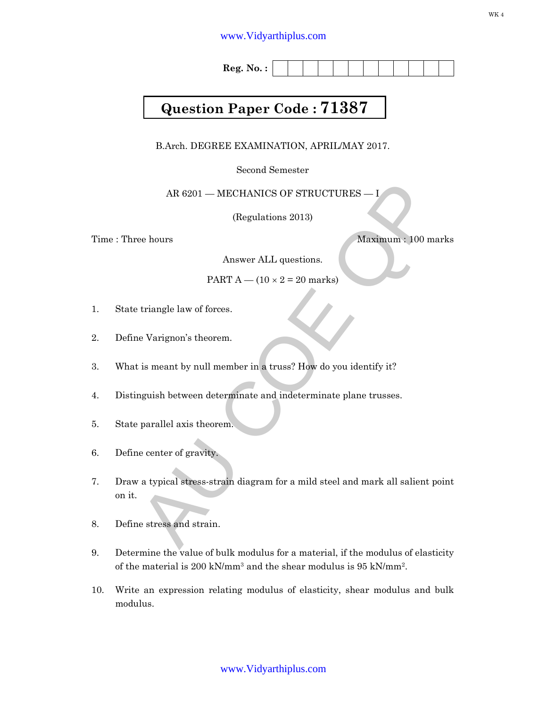# www.Vidyarthiplus.com

**Reg. No. :**

# **Question Paper Code : 71387**

B.Arch. DEGREE EXAMINATION, APRIL/MAY 2017.

Second Semester

AR 6201 — MECHANICS OF STRUCTURES — I

(Regulations 2013)

Time : Three hours Maximum : 100 marks

Answer ALL questions.

PART  $A - (10 \times 2 = 20$  marks)

- 1. State triangle law of forces.
- 2. Define Varignon's theorem.
- 3. What is meant by null member in a truss? How do you identify it?
- 4. Distinguish between determinate and indeterminate plane trusses.
- 5. State parallel axis theorem.
- 6. Define center of gravity.
- AR 6201 MECHANICS OF STRUCTURES I<br>
(Regulations 2013)<br>
Maximum: 100 marks<br>
Answer ALL questions.<br>
PART  $A (10 \times 2 = 20$  marks)<br>
triangle law of forces.<br>
Le Varignon's theorem.<br>
Le carrier by null member in a truss? How 7. Draw a typical stress-strain diagram for a mild steel and mark all salient point on it.
- 8. Define stress and strain.
- 9. Determine the value of bulk modulus for a material, if the modulus of elasticity of the material is 200 kN/mm<sup>3</sup> and the shear modulus is 95 kN/mm<sup>2</sup>.
- 10. Write an expression relating modulus of elasticity, shear modulus and bulk modulus.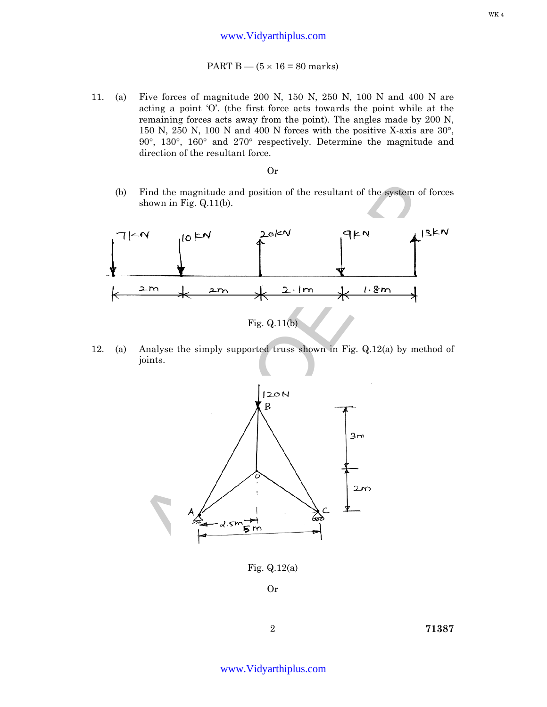## PART  $B - (5 \times 16 = 80$  marks)

11. (a) Five forces of magnitude 200 N, 150 N, 250 N, 100 N and 400 N are acting a point 'O'. (the first force acts towards the point while at the remaining forces acts away from the point). The angles made by 200 N, 150 N, 250 N, 100 N and 400 N forces with the positive X-axis are 30°, 90°, 130°, 160° and 270° respectively. Determine the magnitude and direction of the resultant force.

### Or

(b) Find the magnitude and position of the resultant of the system of forces shown in Fig. Q.11(b).



12. (a) Analyse the simply supported truss shown in Fig. Q.12(a) by method of joints.



Fig. Q.12(a)

Or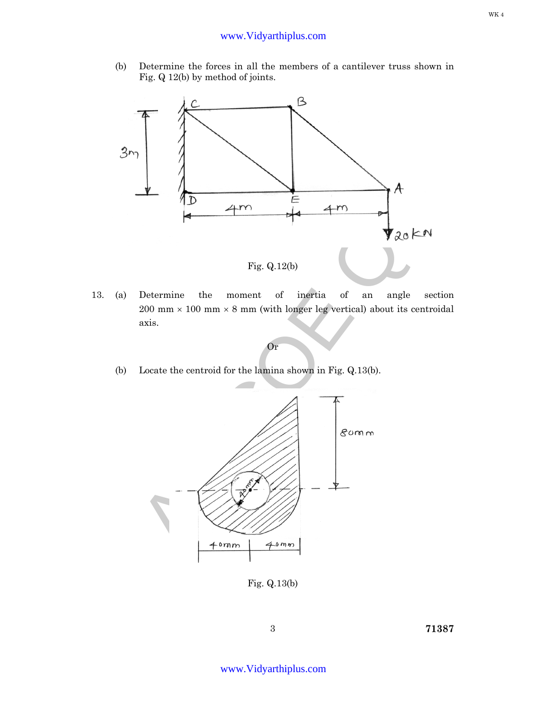(b) Determine the forces in all the members of a cantilever truss shown in Fig. Q 12(b) by method of joints.



13. (a) Determine the moment of inertia of an angle section  $200$  mm  $\times$  100 mm  $\times$  8 mm (with longer leg vertical) about its centroidal axis.

Or

(b) Locate the centroid for the lamina shown in Fig. Q.13(b).



Fig. Q.13(b)